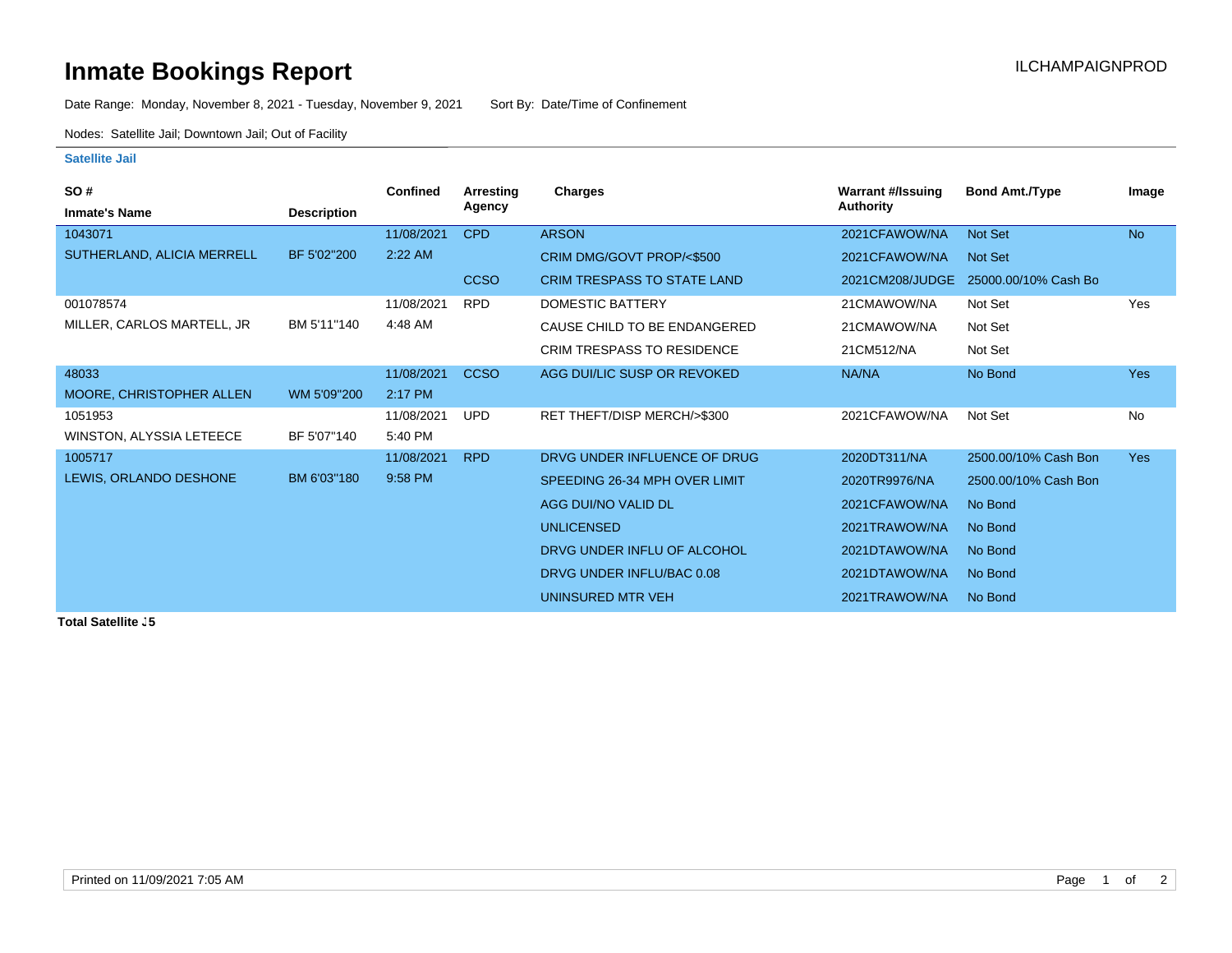## **Inmate Bookings Report Installation ILCHAMPAIGNPROD**

Date Range: Monday, November 8, 2021 - Tuesday, November 9, 2021 Sort By: Date/Time of Confinement

Nodes: Satellite Jail; Downtown Jail; Out of Facility

## **Satellite Jail**

| SO#                        |                    | <b>Confined</b> | <b>Arresting</b> | Charges                            | <b>Warrant #/Issuing</b> | <b>Bond Amt./Type</b> | Image      |
|----------------------------|--------------------|-----------------|------------------|------------------------------------|--------------------------|-----------------------|------------|
| <b>Inmate's Name</b>       | <b>Description</b> |                 | Agency           |                                    | <b>Authority</b>         |                       |            |
| 1043071                    |                    | 11/08/2021      | <b>CPD</b>       | <b>ARSON</b>                       | 2021CFAWOW/NA            | <b>Not Set</b>        | <b>No</b>  |
| SUTHERLAND, ALICIA MERRELL | BF 5'02"200        | 2:22 AM         |                  | CRIM DMG/GOVT PROP/<\$500          | 2021CFAWOW/NA            | Not Set               |            |
|                            |                    |                 | <b>CCSO</b>      | <b>CRIM TRESPASS TO STATE LAND</b> | 2021CM208/JUDGE          | 25000.00/10% Cash Bo  |            |
| 001078574                  |                    | 11/08/2021      | <b>RPD</b>       | <b>DOMESTIC BATTERY</b>            | 21CMAWOW/NA              | Not Set               | Yes        |
| MILLER, CARLOS MARTELL, JR | BM 5'11"140        | 4:48 AM         |                  | CAUSE CHILD TO BE ENDANGERED       | 21CMAWOW/NA              | Not Set               |            |
|                            |                    |                 |                  | <b>CRIM TRESPASS TO RESIDENCE</b>  | 21CM512/NA               | Not Set               |            |
| 48033                      |                    | 11/08/2021      | <b>CCSO</b>      | AGG DUI/LIC SUSP OR REVOKED        | NA/NA                    | No Bond               | <b>Yes</b> |
| MOORE, CHRISTOPHER ALLEN   | WM 5'09"200        | 2:17 PM         |                  |                                    |                          |                       |            |
| 1051953                    |                    | 11/08/2021      | <b>UPD</b>       | RET THEFT/DISP MERCH/>\$300        | 2021CFAWOW/NA            | Not Set               | <b>No</b>  |
| WINSTON, ALYSSIA LETEECE   | BF 5'07"140        | 5:40 PM         |                  |                                    |                          |                       |            |
| 1005717                    |                    | 11/08/2021      | <b>RPD</b>       | DRVG UNDER INFLUENCE OF DRUG       | 2020DT311/NA             | 2500.00/10% Cash Bon  | <b>Yes</b> |
| LEWIS, ORLANDO DESHONE     | BM 6'03"180        | 9:58 PM         |                  | SPEEDING 26-34 MPH OVER LIMIT      | 2020TR9976/NA            | 2500.00/10% Cash Bon  |            |
|                            |                    |                 |                  | AGG DUI/NO VALID DL                | 2021CFAWOW/NA            | No Bond               |            |
|                            |                    |                 |                  | <b>UNLICENSED</b>                  | 2021TRAWOW/NA            | No Bond               |            |
|                            |                    |                 |                  | DRVG UNDER INFLU OF ALCOHOL        | 2021DTAWOW/NA            | No Bond               |            |
|                            |                    |                 |                  | DRVG UNDER INFLU/BAC 0.08          | 2021DTAWOW/NA            | No Bond               |            |
|                            |                    |                 |                  | UNINSURED MTR VEH                  | 2021TRAWOW/NA            | No Bond               |            |

**Total Satellite J5**